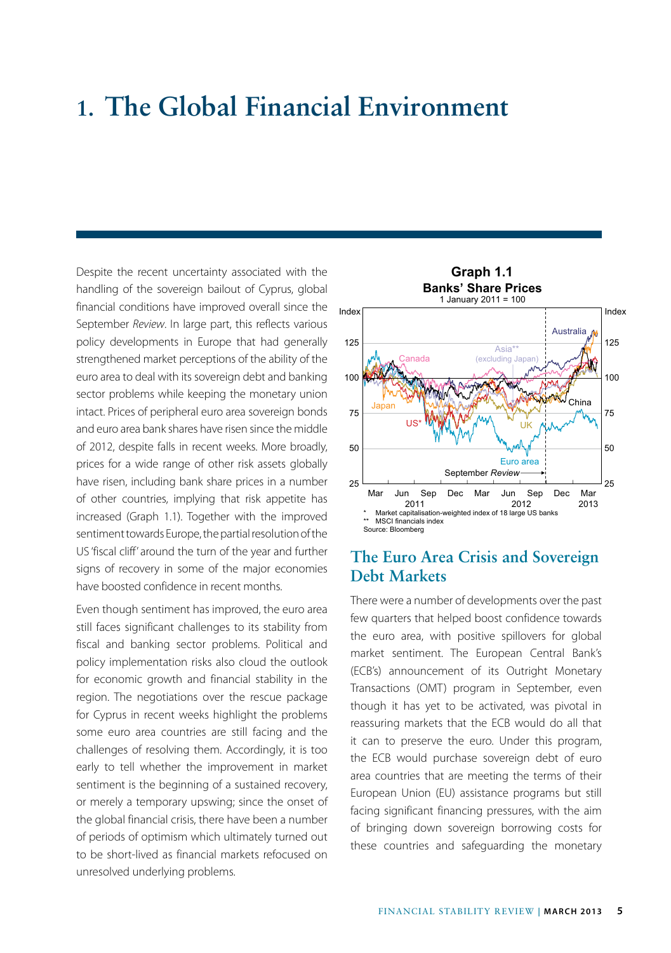# **1. The Global Financial Environment**

Despite the recent uncertainty associated with the handling of the sovereign bailout of Cyprus, global financial conditions have improved overall since the September *Review*. In large part, this reflects various policy developments in Europe that had generally strengthened market perceptions of the ability of the euro area to deal with its sovereign debt and banking sector problems while keeping the monetary union intact. Prices of peripheral euro area sovereign bonds and euro area bank shares have risen since the middle of 2012, despite falls in recent weeks. More broadly, prices for a wide range of other risk assets globally have risen, including bank share prices in a number of other countries, implying that risk appetite has increased (Graph 1.1). Together with the improved sentiment towards Europe, the partial resolution of the US 'fiscal cliff' around the turn of the year and further signs of recovery in some of the major economies have boosted confidence in recent months.

Even though sentiment has improved, the euro area still faces significant challenges to its stability from fiscal and banking sector problems. Political and policy implementation risks also cloud the outlook for economic growth and financial stability in the region. The negotiations over the rescue package for Cyprus in recent weeks highlight the problems some euro area countries are still facing and the challenges of resolving them. Accordingly, it is too early to tell whether the improvement in market sentiment is the beginning of a sustained recovery, or merely a temporary upswing; since the onset of the global financial crisis, there have been a number of periods of optimism which ultimately turned out to be short-lived as financial markets refocused on unresolved underlying problems.



### **The Euro Area Crisis and Sovereign Debt Markets**

There were a number of developments over the past few quarters that helped boost confidence towards the euro area, with positive spillovers for global market sentiment. The European Central Bank's (ECB's) announcement of its Outright Monetary Transactions (OMT) program in September, even though it has yet to be activated, was pivotal in reassuring markets that the ECB would do all that it can to preserve the euro. Under this program, the ECB would purchase sovereign debt of euro area countries that are meeting the terms of their European Union (EU) assistance programs but still facing significant financing pressures, with the aim of bringing down sovereign borrowing costs for these countries and safeguarding the monetary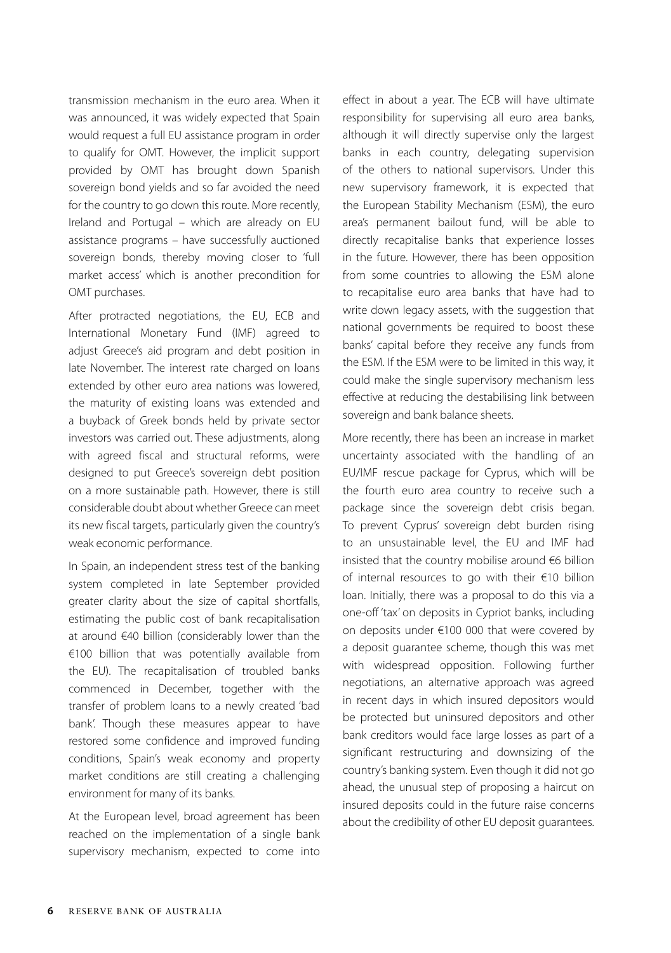transmission mechanism in the euro area. When it was announced, it was widely expected that Spain would request a full EU assistance program in order to qualify for OMT. However, the implicit support provided by OMT has brought down Spanish sovereign bond yields and so far avoided the need for the country to go down this route. More recently, Ireland and Portugal – which are already on EU assistance programs – have successfully auctioned sovereign bonds, thereby moving closer to 'full market access' which is another precondition for OMT purchases.

After protracted negotiations, the EU, ECB and International Monetary Fund (IMF) agreed to adjust Greece's aid program and debt position in late November. The interest rate charged on loans extended by other euro area nations was lowered, the maturity of existing loans was extended and a buyback of Greek bonds held by private sector investors was carried out. These adjustments, along with agreed fiscal and structural reforms, were designed to put Greece's sovereign debt position on a more sustainable path. However, there is still considerable doubt about whether Greece can meet its new fiscal targets, particularly given the country's weak economic performance.

In Spain, an independent stress test of the banking system completed in late September provided greater clarity about the size of capital shortfalls, estimating the public cost of bank recapitalisation at around €40 billion (considerably lower than the €100 billion that was potentially available from the EU). The recapitalisation of troubled banks commenced in December, together with the transfer of problem loans to a newly created 'bad bank'. Though these measures appear to have restored some confidence and improved funding conditions, Spain's weak economy and property market conditions are still creating a challenging environment for many of its banks.

At the European level, broad agreement has been reached on the implementation of a single bank supervisory mechanism, expected to come into effect in about a year. The ECB will have ultimate responsibility for supervising all euro area banks, although it will directly supervise only the largest banks in each country, delegating supervision of the others to national supervisors. Under this new supervisory framework, it is expected that the European Stability Mechanism (ESM), the euro area's permanent bailout fund, will be able to directly recapitalise banks that experience losses in the future. However, there has been opposition from some countries to allowing the ESM alone to recapitalise euro area banks that have had to write down legacy assets, with the suggestion that national governments be required to boost these banks' capital before they receive any funds from the ESM. If the ESM were to be limited in this way, it could make the single supervisory mechanism less effective at reducing the destabilising link between sovereign and bank balance sheets.

More recently, there has been an increase in market uncertainty associated with the handling of an EU/IMF rescue package for Cyprus, which will be the fourth euro area country to receive such a package since the sovereign debt crisis began. To prevent Cyprus' sovereign debt burden rising to an unsustainable level, the EU and IMF had insisted that the country mobilise around €6 billion of internal resources to go with their €10 billion loan. Initially, there was a proposal to do this via a one-off 'tax' on deposits in Cypriot banks, including on deposits under €100 000 that were covered by a deposit guarantee scheme, though this was met with widespread opposition. Following further negotiations, an alternative approach was agreed in recent days in which insured depositors would be protected but uninsured depositors and other bank creditors would face large losses as part of a significant restructuring and downsizing of the country's banking system. Even though it did not go ahead, the unusual step of proposing a haircut on insured deposits could in the future raise concerns about the credibility of other EU deposit guarantees.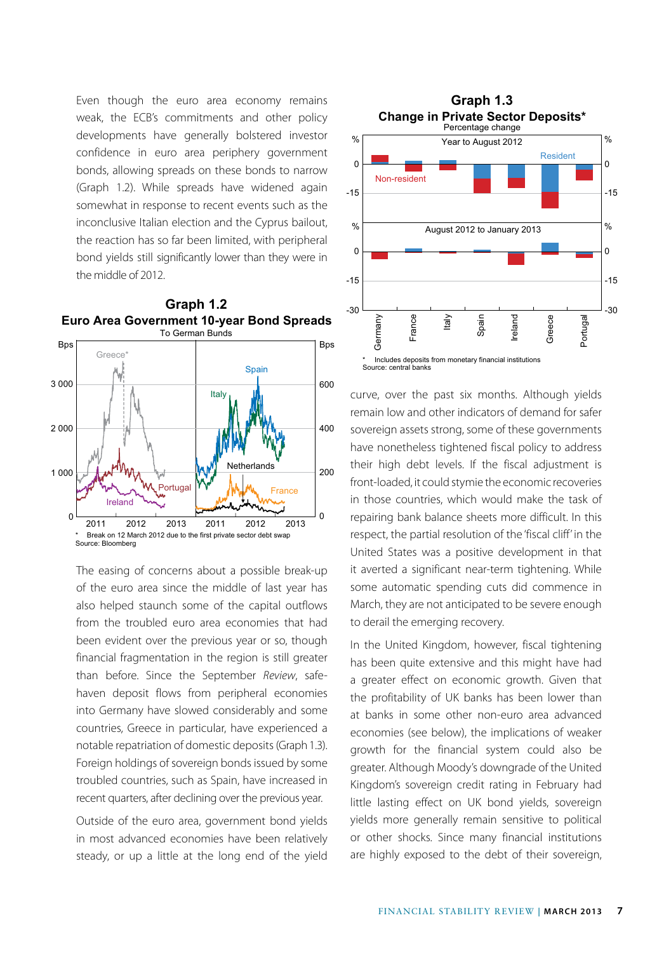Even though the euro area economy remains **Graph 1.3** weak, the ECB's commitments and other policy developments have generally bolstered investor confidence in euro area periphery government bonds, allowing spreads on these bonds to narrow (Graph 1.2). While spreads have widened again somewhat in response to recent events such as the inconclusive Italian election and the Cyprus bailout, the reaction has so far been limited, with peripheral bond yields still significantly lower than they were in the middle of 2012.



The easing of concerns about a possible break-up of the euro area since the middle of last year has also helped staunch some of the capital outflows from the troubled euro area economies that had been evident over the previous year or so, though financial fragmentation in the region is still greater than before. Since the September *Review*, safehaven deposit flows from peripheral economies into Germany have slowed considerably and some countries, Greece in particular, have experienced a notable repatriation of domestic deposits (Graph 1.3). Foreign holdings of sovereign bonds issued by some troubled countries, such as Spain, have increased in recent quarters, after declining over the previous year.

Outside of the euro area, government bond yields in most advanced economies have been relatively steady, or up a little at the long end of the yield



curve, over the past six months. Although yields remain low and other indicators of demand for safer sovereign assets strong, some of these governments have nonetheless tightened fiscal policy to address their high debt levels. If the fiscal adjustment is front-loaded, it could stymie the economic recoveries in those countries, which would make the task of repairing bank balance sheets more difficult. In this respect, the partial resolution of the 'fiscal cliff' in the United States was a positive development in that it averted a significant near-term tightening. While some automatic spending cuts did commence in March, they are not anticipated to be severe enough to derail the emerging recovery.

In the United Kingdom, however, fiscal tightening has been quite extensive and this might have had a greater effect on economic growth. Given that the profitability of UK banks has been lower than at banks in some other non-euro area advanced economies (see below), the implications of weaker growth for the financial system could also be greater. Although Moody's downgrade of the United Kingdom's sovereign credit rating in February had little lasting effect on UK bond yields, sovereign yields more generally remain sensitive to political or other shocks. Since many financial institutions are highly exposed to the debt of their sovereign,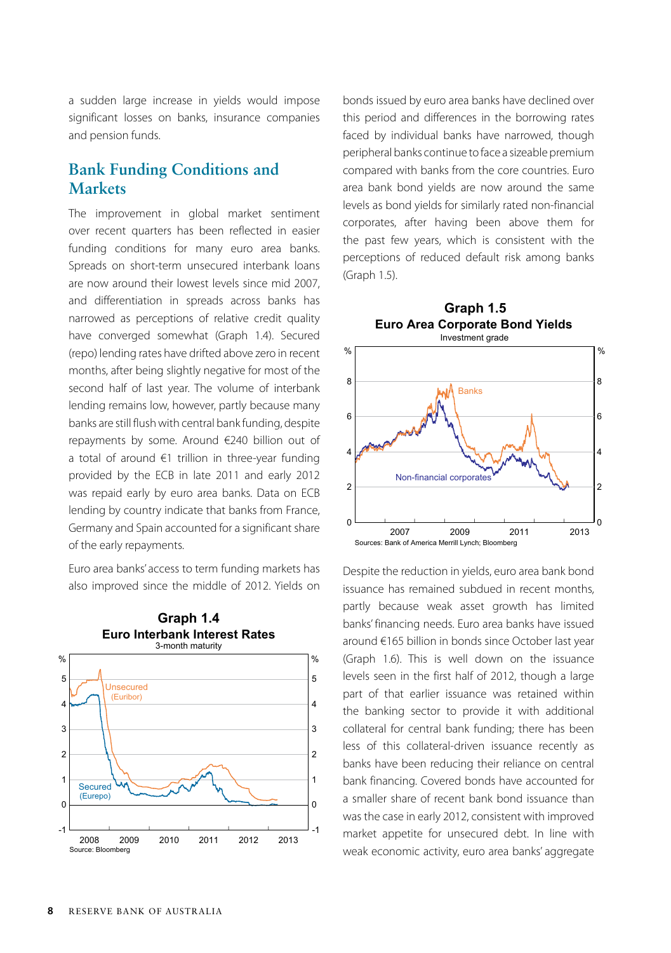a sudden large increase in yields would impose significant losses on banks, insurance companies and pension funds.

## **Bank Funding Conditions and Markets**

The improvement in global market sentiment over recent quarters has been reflected in easier funding conditions for many euro area banks. Spreads on short-term unsecured interbank loans are now around their lowest levels since mid 2007, and differentiation in spreads across banks has narrowed as perceptions of relative credit quality have converged somewhat (Graph 1.4). Secured (repo) lending rates have drifted above zero in recent months, after being slightly negative for most of the second half of last year. The volume of interbank lending remains low, however, partly because many banks are still flush with central bank funding, despite repayments by some. Around €240 billion out of a total of around €1 trillion in three-year funding provided by the ECB in late 2011 and early 2012 was repaid early by euro area banks. Data on ECB lending by country indicate that banks from France, Germany and Spain accounted for a significant share of the early repayments.

Euro area banks' access to term funding markets has also improved since the middle of 2012. Yields on



bonds issued by euro area banks have declined over this period and differences in the borrowing rates faced by individual banks have narrowed, though peripheral banks continue to face a sizeable premium compared with banks from the core countries. Euro area bank bond yields are now around the same levels as bond yields for similarly rated non-financial corporates, after having been above them for the past few years, which is consistent with the perceptions of reduced default risk among banks (Graph 1.5).



Despite the reduction in yields, euro area bank bond issuance has remained subdued in recent months, partly because weak asset growth has limited banks' financing needs. Euro area banks have issued around €165 billion in bonds since October last year (Graph 1.6). This is well down on the issuance levels seen in the first half of 2012, though a large part of that earlier issuance was retained within the banking sector to provide it with additional collateral for central bank funding; there has been less of this collateral-driven issuance recently as banks have been reducing their reliance on central bank financing. Covered bonds have accounted for a smaller share of recent bank bond issuance than was the case in early 2012, consistent with improved market appetite for unsecured debt. In line with weak economic activity, euro area banks' aggregate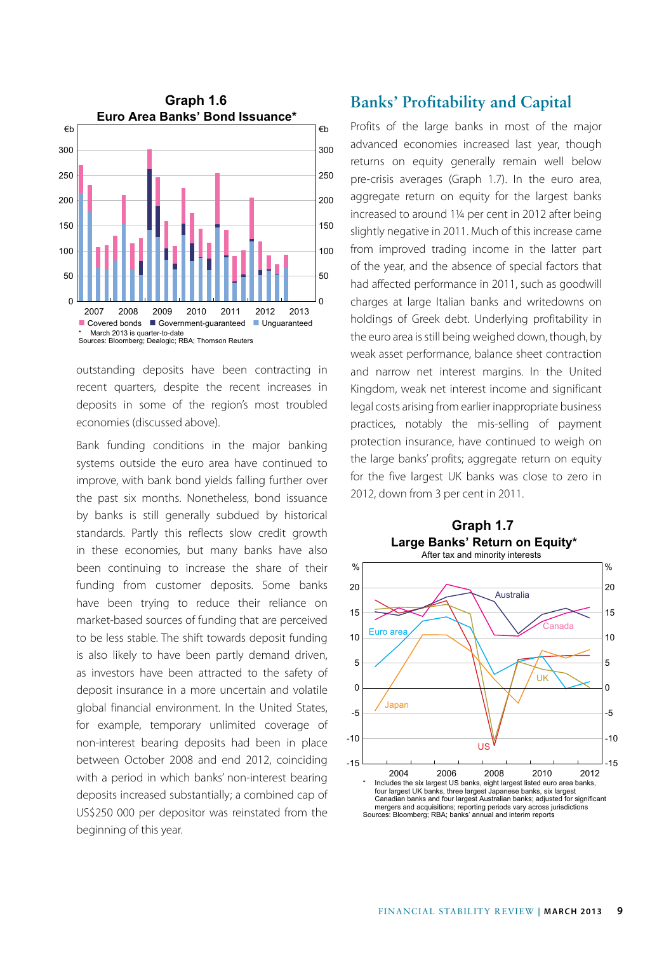

outstanding deposits have been contracting in recent quarters, despite the recent increases in deposits in some of the region's most troubled economies (discussed above).

Bank funding conditions in the major banking systems outside the euro area have continued to improve, with bank bond yields falling further over the past six months. Nonetheless, bond issuance by banks is still generally subdued by historical standards. Partly this reflects slow credit growth in these economies, but many banks have also been continuing to increase the share of their funding from customer deposits. Some banks have been trying to reduce their reliance on market-based sources of funding that are perceived to be less stable. The shift towards deposit funding is also likely to have been partly demand driven, as investors have been attracted to the safety of deposit insurance in a more uncertain and volatile global financial environment. In the United States, for example, temporary unlimited coverage of non-interest bearing deposits had been in place between October 2008 and end 2012, coinciding with a period in which banks' non-interest bearing deposits increased substantially; a combined cap of US\$250 000 per depositor was reinstated from the beginning of this year.

#### **Banks' Profitability and Capital**

Profits of the large banks in most of the major advanced economies increased last year, though returns on equity generally remain well below pre-crisis averages (Graph 1.7). In the euro area, aggregate return on equity for the largest banks increased to around 1¼ per cent in 2012 after being slightly negative in 2011. Much of this increase came from improved trading income in the latter part of the year, and the absence of special factors that had affected performance in 2011, such as goodwill charges at large Italian banks and writedowns on holdings of Greek debt. Underlying profitability in the euro area is still being weighed down, though, by weak asset performance, balance sheet contraction and narrow net interest margins. In the United Kingdom, weak net interest income and significant legal costs arising from earlier inappropriate business practices, notably the mis-selling of payment protection insurance, have continued to weigh on the large banks' profits; aggregate return on equity for the five largest UK banks was close to zero in 2012, down from 3 per cent in 2011.

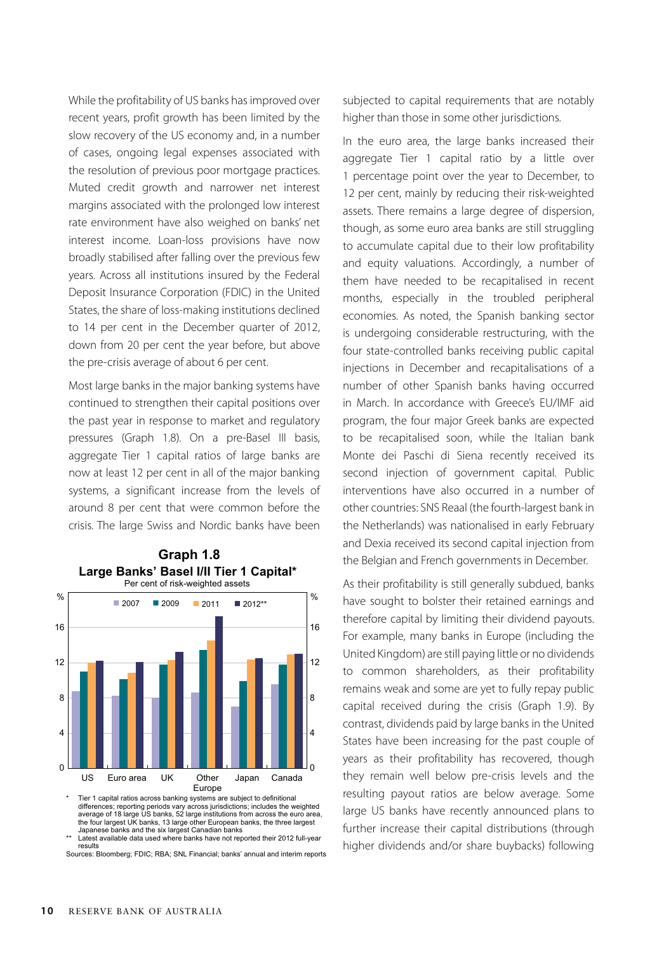While the profitability of US banks has improved over recent years, profit growth has been limited by the slow recovery of the US economy and, in a number of cases, ongoing legal expenses associated with the resolution of previous poor mortgage practices. Muted credit growth and narrower net interest margins associated with the prolonged low interest rate environment have also weighed on banks' net interest income. Loan-loss provisions have now broadly stabilised after falling over the previous few years. Across all institutions insured by the Federal Deposit Insurance Corporation (FDIC) in the United States, the share of loss-making institutions declined to 14 per cent in the December quarter of 2012, down from 20 per cent the year before, but above the pre-crisis average of about 6 per cent.

Most large banks in the major banking systems have continued to strengthen their capital positions over the past year in response to market and regulatory pressures (Graph 1.8). On a pre-Basel III basis, aggregate Tier 1 capital ratios of large banks are now at least 12 per cent in all of the major banking systems, a significant increase from the levels of around 8 per cent that were common before the crisis. The large Swiss and Nordic banks have been



**Large Banks' Basel I/II Tier 1 Capital\* Graph 1.8**

Fier 1 capital ratios across banking systems are subject to definitional<br>differences; reporting periods vary across jurisdictions; includes the weighted<br>average of 18 large US banks, 52 large institutions from across the e

results

Sources: Bloomberg; FDIC; RBA; SNL Financial; banks' annual and interim reports

subjected to capital requirements that are notably higher than those in some other jurisdictions.

In the euro area, the large banks increased their aggregate Tier 1 capital ratio by a little over 1 percentage point over the year to December, to 12 per cent, mainly by reducing their risk-weighted assets. There remains a large degree of dispersion, though, as some euro area banks are still struggling to accumulate capital due to their low profitability and equity valuations. Accordingly, a number of them have needed to be recapitalised in recent months, especially in the troubled peripheral economies. As noted, the Spanish banking sector is undergoing considerable restructuring, with the four state-controlled banks receiving public capital injections in December and recapitalisations of a number of other Spanish banks having occurred in March. In accordance with Greece's EU/IMF aid program, the four major Greek banks are expected to be recapitalised soon, while the Italian bank Monte dei Paschi di Siena recently received its second injection of government capital. Public interventions have also occurred in a number of other countries: SNS Reaal (the fourth-largest bank in the Netherlands) was nationalised in early February and Dexia received its second capital injection from the Belgian and French governments in December.

As their profitability is still generally subdued, banks have sought to bolster their retained earnings and therefore capital by limiting their dividend payouts. For example, many banks in Europe (including the United Kingdom) are still paying little or no dividends to common shareholders, as their profitability remains weak and some are yet to fully repay public capital received during the crisis (Graph 1.9). By contrast, dividends paid by large banks in the United States have been increasing for the past couple of years as their profitability has recovered, though they remain well below pre-crisis levels and the resulting payout ratios are below average. Some large US banks have recently announced plans to further increase their capital distributions (through higher dividends and/or share buybacks) following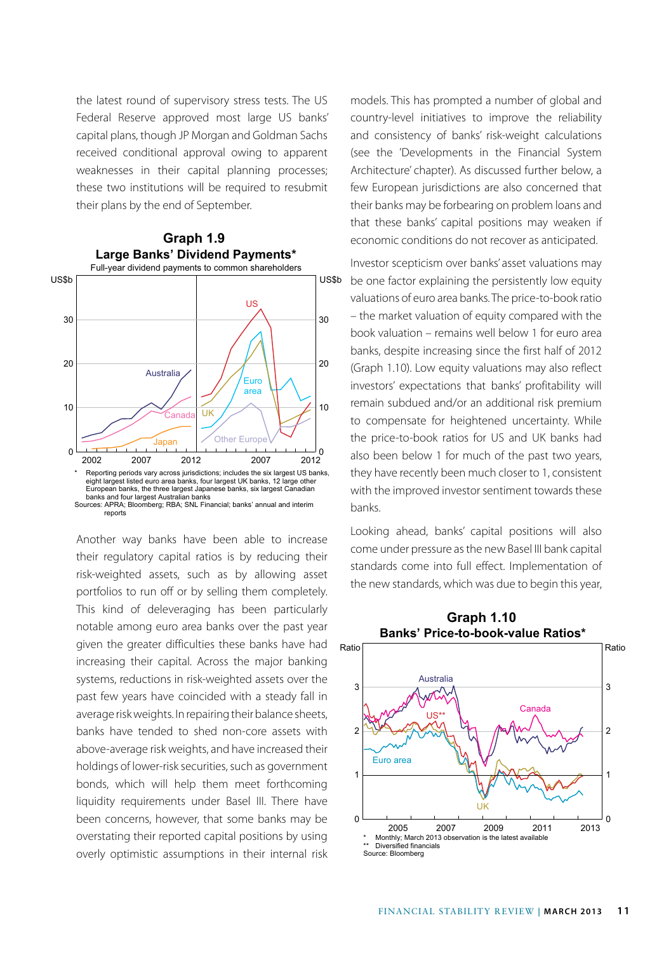the latest round of supervisory stress tests. The US Federal Reserve approved most large US banks' capital plans, though JP Morgan and Goldman Sachs received conditional approval owing to apparent weaknesses in their capital planning processes; these two institutions will be required to resubmit their plans by the end of September.



Another way banks have been able to increase their regulatory capital ratios is by reducing their risk-weighted assets, such as by allowing asset portfolios to run off or by selling them completely. This kind of deleveraging has been particularly notable among euro area banks over the past year given the greater difficulties these banks have had increasing their capital. Across the major banking systems, reductions in risk-weighted assets over the past few years have coincided with a steady fall in average risk weights. In repairing their balance sheets, banks have tended to shed non-core assets with above-average risk weights, and have increased their holdings of lower-risk securities, such as government bonds, which will help them meet forthcoming liquidity requirements under Basel III. There have been concerns, however, that some banks may be overstating their reported capital positions by using overly optimistic assumptions in their internal risk models. This has prompted a number of global and country-level initiatives to improve the reliability and consistency of banks' risk-weight calculations (see the 'Developments in the Financial System Architecture' chapter). As discussed further below, a few European jurisdictions are also concerned that their banks may be forbearing on problem loans and that these banks' capital positions may weaken if economic conditions do not recover as anticipated.

Investor scepticism over banks' asset valuations may be one factor explaining the persistently low equity valuations of euro area banks. The price-to-book ratio – the market valuation of equity compared with the book valuation – remains well below 1 for euro area banks, despite increasing since the first half of 2012 (Graph 1.10). Low equity valuations may also reflect investors' expectations that banks' profitability will remain subdued and/or an additional risk premium to compensate for heightened uncertainty. While the price-to-book ratios for US and UK banks had also been below 1 for much of the past two years, they have recently been much closer to 1, consistent with the improved investor sentiment towards these banks.

Looking ahead, banks' capital positions will also come under pressure as the new Basel III bank capital standards come into full effect. Implementation of the new standards, which was due to begin this year,

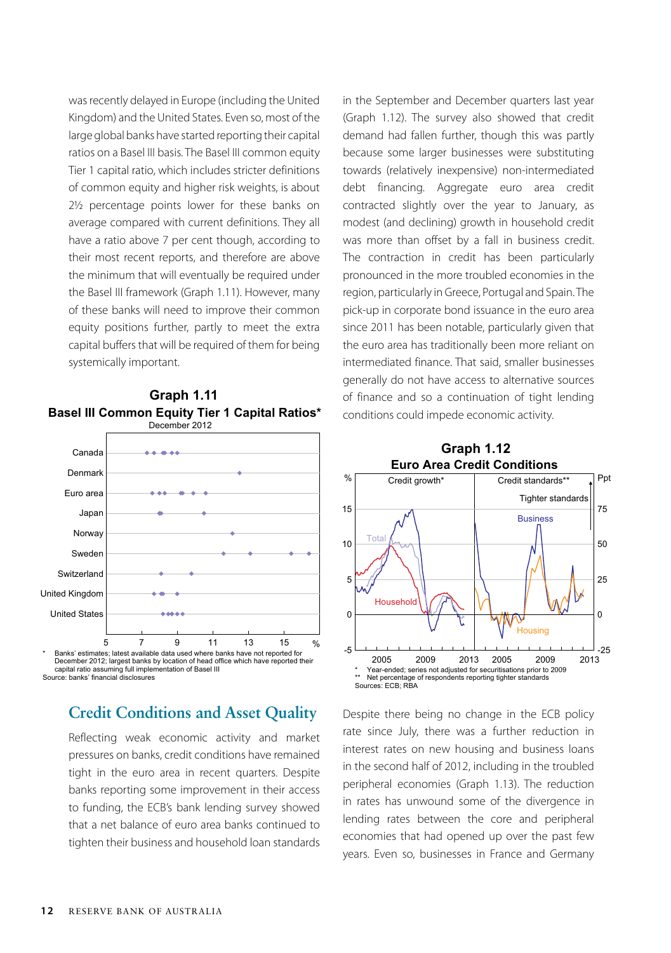was recently delayed in Europe (including the United Kingdom) and the United States. Even so, most of the large global banks have started reporting their capital ratios on a Basel III basis. The Basel III common equity Tier 1 capital ratio, which includes stricter definitions of common equity and higher risk weights, is about 2½ percentage points lower for these banks on average compared with current definitions. They all have a ratio above 7 per cent though, according to their most recent reports, and therefore are above the minimum that will eventually be required under the Basel III framework (Graph 1.11). However, many of these banks will need to improve their common equity positions further, partly to meet the extra capital buffers that will be required of them for being systemically important.



**Basel III Common Equity Tier 1 Capital Ratios\* Graph 1.11**

capital ratio assuming full implementation of Basel III Source: banks' financial disclosures

# **Credit Conditions and Asset Quality**

Reflecting weak economic activity and market pressures on banks, credit conditions have remained tight in the euro area in recent quarters. Despite banks reporting some improvement in their access to funding, the ECB's bank lending survey showed that a net balance of euro area banks continued to tighten their business and household loan standards in the September and December quarters last year (Graph 1.12). The survey also showed that credit demand had fallen further, though this was partly because some larger businesses were substituting towards (relatively inexpensive) non-intermediated debt financing. Aggregate euro area credit contracted slightly over the year to January, as modest (and declining) growth in household credit was more than offset by a fall in business credit. The contraction in credit has been particularly pronounced in the more troubled economies in the region, particularly in Greece, Portugal and Spain. The pick-up in corporate bond issuance in the euro area since 2011 has been notable, particularly given that the euro area has traditionally been more reliant on intermediated finance. That said, smaller businesses generally do not have access to alternative sources of finance and so a continuation of tight lending conditions could impede economic activity.



Despite there being no change in the ECB policy rate since July, there was a further reduction in interest rates on new housing and business loans in the second half of 2012, including in the troubled peripheral economies (Graph 1.13). The reduction in rates has unwound some of the divergence in lending rates between the core and peripheral economies that had opened up over the past few years. Even so, businesses in France and Germany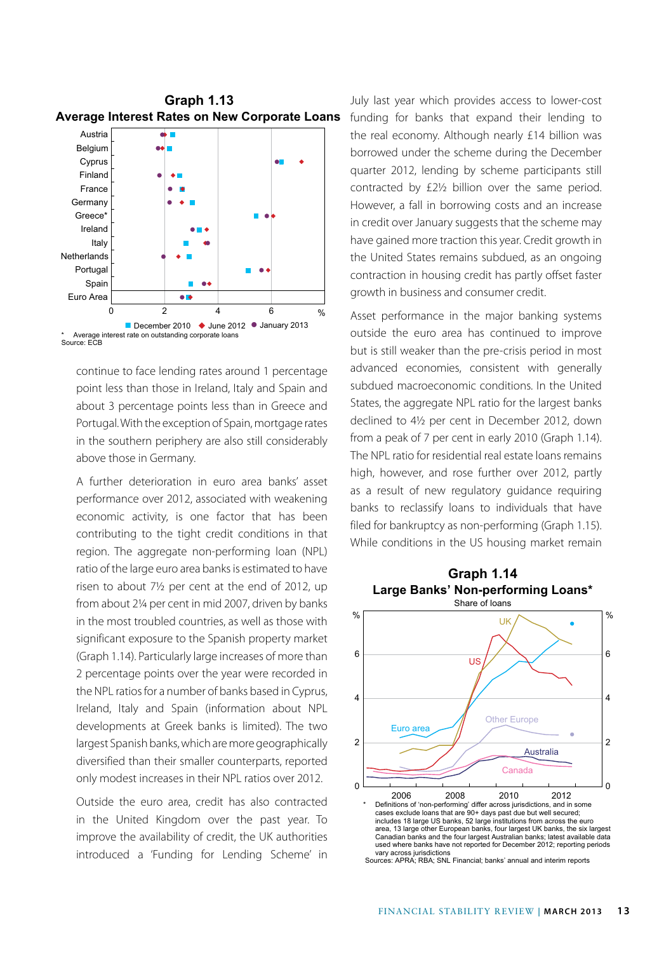

continue to face lending rates around 1 percentage point less than those in Ireland, Italy and Spain and about 3 percentage points less than in Greece and Portugal. With the exception of Spain, mortgage rates in the southern periphery are also still considerably above those in Germany.

A further deterioration in euro area banks' asset performance over 2012, associated with weakening economic activity, is one factor that has been contributing to the tight credit conditions in that region. The aggregate non-performing loan (NPL) ratio of the large euro area banks is estimated to have risen to about 7½ per cent at the end of 2012, up from about 2¼ per cent in mid 2007, driven by banks in the most troubled countries, as well as those with significant exposure to the Spanish property market (Graph 1.14). Particularly large increases of more than 2 percentage points over the year were recorded in the NPL ratios for a number of banks based in Cyprus, Ireland, Italy and Spain (information about NPL developments at Greek banks is limited). The two largest Spanish banks, which are more geographically diversified than their smaller counterparts, reported only modest increases in their NPL ratios over 2012.

Outside the euro area, credit has also contracted in the United Kingdom over the past year. To improve the availability of credit, the UK authorities introduced a 'Funding for Lending Scheme' in

July last year which provides access to lower-cost funding for banks that expand their lending to the real economy. Although nearly £14 billion was borrowed under the scheme during the December quarter 2012, lending by scheme participants still contracted by £2½ billion over the same period. However, a fall in borrowing costs and an increase in credit over January suggests that the scheme may have gained more traction this year. Credit growth in the United States remains subdued, as an ongoing contraction in housing credit has partly offset faster growth in business and consumer credit.

Asset performance in the major banking systems outside the euro area has continued to improve but is still weaker than the pre-crisis period in most advanced economies, consistent with generally subdued macroeconomic conditions. In the United States, the aggregate NPL ratio for the largest banks declined to 4½ per cent in December 2012, down from a peak of 7 per cent in early 2010 (Graph 1.14). The NPL ratio for residential real estate loans remains high, however, and rose further over 2012, partly as a result of new regulatory guidance requiring banks to reclassify loans to individuals that have filed for bankruptcy as non-performing (Graph 1.15). While conditions in the US housing market remain

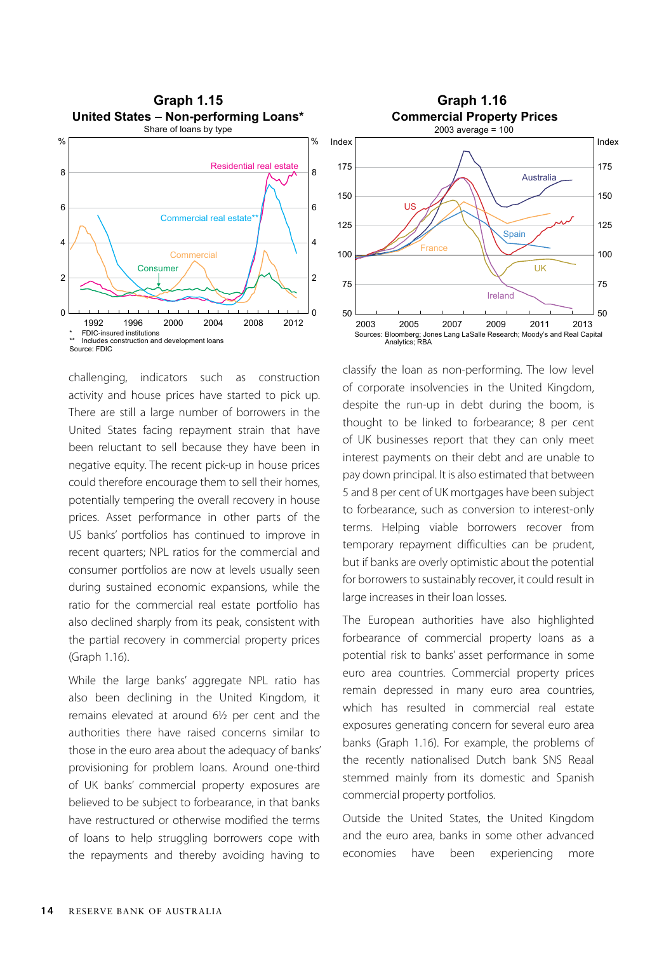

challenging, indicators such as construction activity and house prices have started to pick up. There are still a large number of borrowers in the United States facing repayment strain that have been reluctant to sell because they have been in negative equity. The recent pick-up in house prices could therefore encourage them to sell their homes, potentially tempering the overall recovery in house prices. Asset performance in other parts of the US banks' portfolios has continued to improve in recent quarters; NPL ratios for the commercial and consumer portfolios are now at levels usually seen during sustained economic expansions, while the ratio for the commercial real estate portfolio has also declined sharply from its peak, consistent with the partial recovery in commercial property prices (Graph 1.16).

While the large banks' aggregate NPL ratio has also been declining in the United Kingdom, it remains elevated at around 6½ per cent and the authorities there have raised concerns similar to those in the euro area about the adequacy of banks' provisioning for problem loans. Around one-third of UK banks' commercial property exposures are believed to be subject to forbearance, in that banks have restructured or otherwise modified the terms of loans to help struggling borrowers cope with the repayments and thereby avoiding having to



classify the loan as non-performing. The low level of corporate insolvencies in the United Kingdom, despite the run-up in debt during the boom, is thought to be linked to forbearance; 8 per cent of UK businesses report that they can only meet interest payments on their debt and are unable to pay down principal. It is also estimated that between 5 and 8 per cent of UK mortgages have been subject to forbearance, such as conversion to interest-only terms. Helping viable borrowers recover from temporary repayment difficulties can be prudent, but if banks are overly optimistic about the potential for borrowers to sustainably recover, it could result in large increases in their loan losses.

The European authorities have also highlighted forbearance of commercial property loans as a potential risk to banks' asset performance in some euro area countries. Commercial property prices remain depressed in many euro area countries, which has resulted in commercial real estate exposures generating concern for several euro area banks (Graph 1.16). For example, the problems of the recently nationalised Dutch bank SNS Reaal stemmed mainly from its domestic and Spanish commercial property portfolios.

Outside the United States, the United Kingdom and the euro area, banks in some other advanced economies have been experiencing more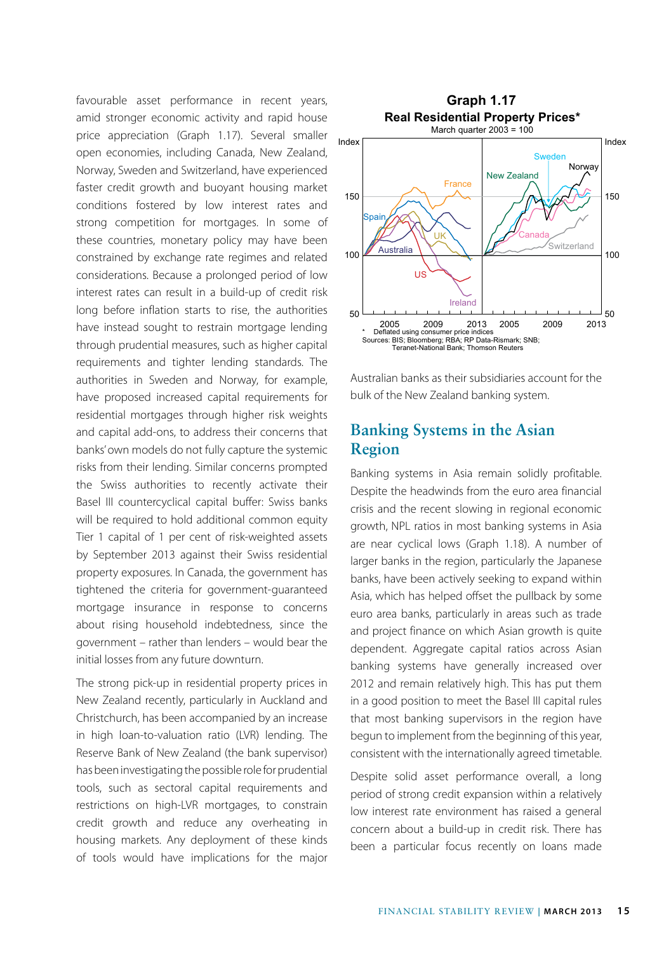favourable asset performance in recent years, **Graph 1.17** amid stronger economic activity and rapid house price appreciation (Graph 1.17). Several smaller open economies, including Canada, New Zealand, Norway, Sweden and Switzerland, have experienced faster credit growth and buoyant housing market conditions fostered by low interest rates and strong competition for mortgages. In some of these countries, monetary policy may have been constrained by exchange rate regimes and related considerations. Because a prolonged period of low interest rates can result in a build-up of credit risk long before inflation starts to rise, the authorities have instead sought to restrain mortgage lending through prudential measures, such as higher capital requirements and tighter lending standards. The authorities in Sweden and Norway, for example, have proposed increased capital requirements for residential mortgages through higher risk weights and capital add-ons, to address their concerns that banks' own models do not fully capture the systemic risks from their lending. Similar concerns prompted the Swiss authorities to recently activate their Basel III countercyclical capital buffer: Swiss banks will be required to hold additional common equity Tier 1 capital of 1 per cent of risk-weighted assets by September 2013 against their Swiss residential property exposures. In Canada, the government has tightened the criteria for government-guaranteed mortgage insurance in response to concerns about rising household indebtedness, since the government – rather than lenders – would bear the initial losses from any future downturn.

The strong pick-up in residential property prices in New Zealand recently, particularly in Auckland and Christchurch, has been accompanied by an increase in high loan-to-valuation ratio (LVR) lending. The Reserve Bank of New Zealand (the bank supervisor) has been investigating the possible role for prudential tools, such as sectoral capital requirements and restrictions on high-LVR mortgages, to constrain credit growth and reduce any overheating in housing markets. Any deployment of these kinds of tools would have implications for the major



Australian banks as their subsidiaries account for the bulk of the New Zealand banking system.

#### **Banking Systems in the Asian Region**

Banking systems in Asia remain solidly profitable. Despite the headwinds from the euro area financial crisis and the recent slowing in regional economic growth, NPL ratios in most banking systems in Asia are near cyclical lows (Graph 1.18). A number of larger banks in the region, particularly the Japanese banks, have been actively seeking to expand within Asia, which has helped offset the pullback by some euro area banks, particularly in areas such as trade and project finance on which Asian growth is quite dependent. Aggregate capital ratios across Asian banking systems have generally increased over 2012 and remain relatively high. This has put them in a good position to meet the Basel III capital rules that most banking supervisors in the region have begun to implement from the beginning of this year, consistent with the internationally agreed timetable.

Despite solid asset performance overall, a long period of strong credit expansion within a relatively low interest rate environment has raised a general concern about a build-up in credit risk. There has been a particular focus recently on loans made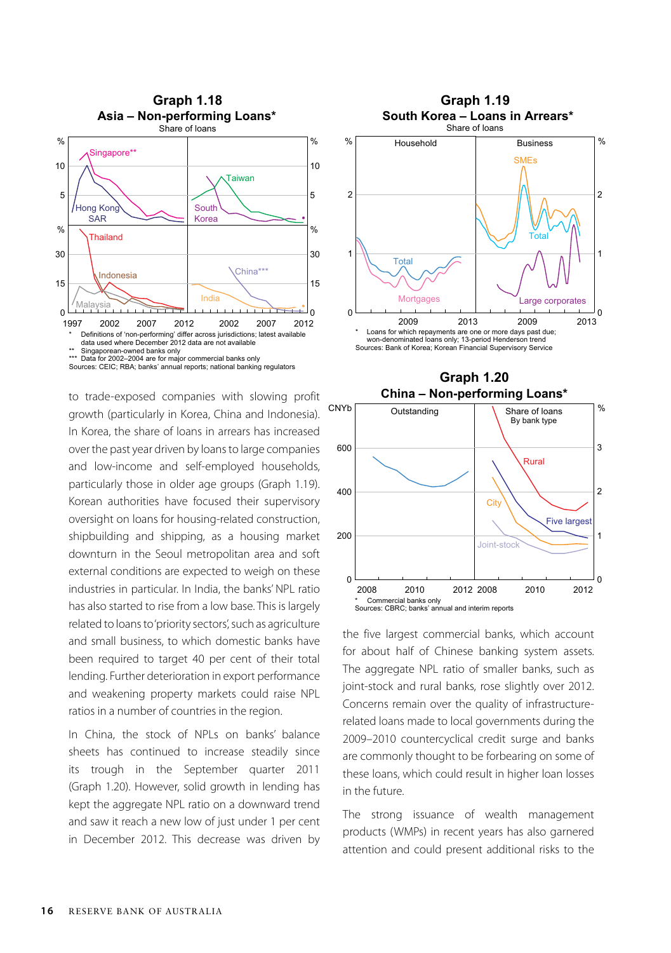

to trade-exposed companies with slowing profit growth (particularly in Korea, China and Indonesia). In Korea, the share of loans in arrears has increased over the past year driven by loans to large companies and low-income and self-employed households, particularly those in older age groups (Graph 1.19). Korean authorities have focused their supervisory oversight on loans for housing-related construction, shipbuilding and shipping, as a housing market downturn in the Seoul metropolitan area and soft external conditions are expected to weigh on these industries in particular. In India, the banks' NPL ratio has also started to rise from a low base. This is largely related to loans to 'priority sectors', such as agriculture and small business, to which domestic banks have been required to target 40 per cent of their total lending. Further deterioration in export performance and weakening property markets could raise NPL ratios in a number of countries in the region.

In China, the stock of NPLs on banks' balance sheets has continued to increase steadily since its trough in the September quarter 2011 (Graph 1.20). However, solid growth in lending has kept the aggregate NPL ratio on a downward trend and saw it reach a new low of just under 1 per cent in December 2012. This decrease was driven by





0

2012



 $\epsilon$ 

the five largest commercial banks, which account for about half of Chinese banking system assets. The aggregate NPL ratio of smaller banks, such as joint-stock and rural banks, rose slightly over 2012. Concerns remain over the quality of infrastructurerelated loans made to local governments during the 2009–2010 countercyclical credit surge and banks are commonly thought to be forbearing on some of these loans, which could result in higher loan losses in the future.

The strong issuance of wealth management products (WMPs) in recent years has also garnered attention and could present additional risks to the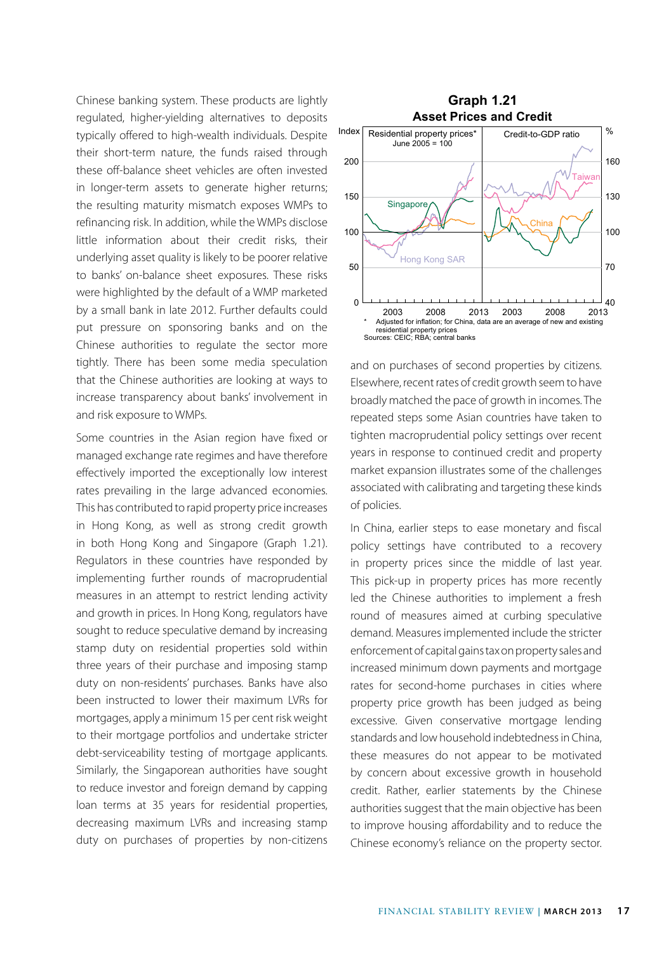Chinese banking system. These products are lightly regulated, higher-yielding alternatives to deposits typically offered to high-wealth individuals. Despite their short-term nature, the funds raised through these off-balance sheet vehicles are often invested in longer-term assets to generate higher returns; the resulting maturity mismatch exposes WMPs to refinancing risk. In addition, while the WMPs disclose little information about their credit risks, their underlying asset quality is likely to be poorer relative to banks' on-balance sheet exposures. These risks were highlighted by the default of a WMP marketed by a small bank in late 2012. Further defaults could put pressure on sponsoring banks and on the Chinese authorities to regulate the sector more tightly. There has been some media speculation that the Chinese authorities are looking at ways to increase transparency about banks' involvement in and risk exposure to WMPs.

Some countries in the Asian region have fixed or managed exchange rate regimes and have therefore effectively imported the exceptionally low interest rates prevailing in the large advanced economies. This has contributed to rapid property price increases in Hong Kong, as well as strong credit growth in both Hong Kong and Singapore (Graph 1.21). Regulators in these countries have responded by implementing further rounds of macroprudential measures in an attempt to restrict lending activity and growth in prices. In Hong Kong, regulators have sought to reduce speculative demand by increasing stamp duty on residential properties sold within three years of their purchase and imposing stamp duty on non-residents' purchases. Banks have also been instructed to lower their maximum LVRs for mortgages, apply a minimum 15 per cent risk weight to their mortgage portfolios and undertake stricter debt-serviceability testing of mortgage applicants. Similarly, the Singaporean authorities have sought to reduce investor and foreign demand by capping loan terms at 35 years for residential properties, decreasing maximum LVRs and increasing stamp duty on purchases of properties by non-citizens



and on purchases of second properties by citizens. Elsewhere, recent rates of credit growth seem to have broadly matched the pace of growth in incomes. The repeated steps some Asian countries have taken to tighten macroprudential policy settings over recent years in response to continued credit and property market expansion illustrates some of the challenges associated with calibrating and targeting these kinds of policies.

In China, earlier steps to ease monetary and fiscal policy settings have contributed to a recovery in property prices since the middle of last year. This pick-up in property prices has more recently led the Chinese authorities to implement a fresh round of measures aimed at curbing speculative demand. Measures implemented include the stricter enforcement of capital gains tax on property sales and increased minimum down payments and mortgage rates for second-home purchases in cities where property price growth has been judged as being excessive. Given conservative mortgage lending standards and low household indebtedness in China, these measures do not appear to be motivated by concern about excessive growth in household credit. Rather, earlier statements by the Chinese authorities suggest that the main objective has been to improve housing affordability and to reduce the Chinese economy's reliance on the property sector.